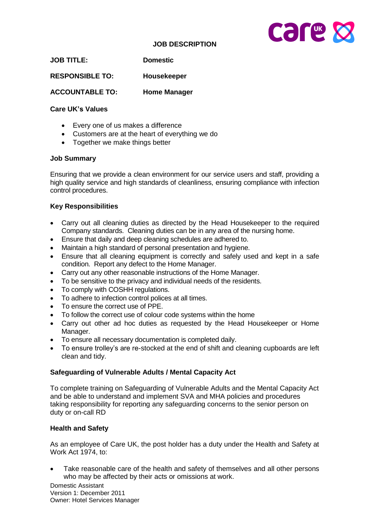# **JOB DESCRIPTION**



| <b>Domestic</b> |
|-----------------|
|                 |

**RESPONSIBLE TO: Housekeeper**

**ACCOUNTABLE TO: Home Manager**

## **Care UK's Values**

- Every one of us makes a difference
- Customers are at the heart of everything we do
- Together we make things better

### **Job Summary**

Ensuring that we provide a clean environment for our service users and staff, providing a high quality service and high standards of cleanliness, ensuring compliance with infection control procedures.

## **Key Responsibilities**

- Carry out all cleaning duties as directed by the Head Housekeeper to the required Company standards. Cleaning duties can be in any area of the nursing home.
- Ensure that daily and deep cleaning schedules are adhered to.
- Maintain a high standard of personal presentation and hygiene.
- Ensure that all cleaning equipment is correctly and safely used and kept in a safe condition. Report any defect to the Home Manager.
- Carry out any other reasonable instructions of the Home Manager.
- To be sensitive to the privacy and individual needs of the residents.
- To comply with COSHH regulations.
- To adhere to infection control polices at all times.
- To ensure the correct use of PPE.
- To follow the correct use of colour code systems within the home
- Carry out other ad hoc duties as requested by the Head Housekeeper or Home Manager.
- To ensure all necessary documentation is completed daily.
- To ensure trolley's are re-stocked at the end of shift and cleaning cupboards are left clean and tidy.

#### **Safeguarding of Vulnerable Adults / Mental Capacity Act**

To complete training on Safeguarding of Vulnerable Adults and the Mental Capacity Act and be able to understand and implement SVA and MHA policies and procedures taking responsibility for reporting any safeguarding concerns to the senior person on duty or on-call RD

## **Health and Safety**

As an employee of Care UK, the post holder has a duty under the Health and Safety at Work Act 1974, to:

 Take reasonable care of the health and safety of themselves and all other persons who may be affected by their acts or omissions at work.

Domestic Assistant Version 1: December 2011 Owner: Hotel Services Manager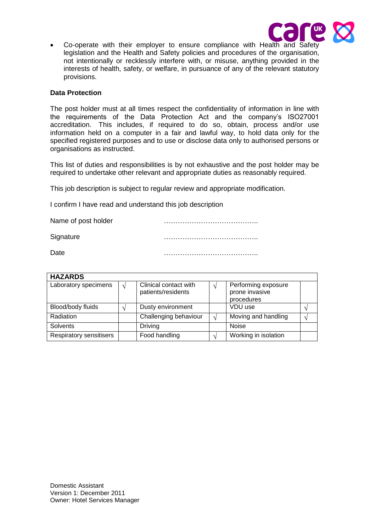

 Co-operate with their employer to ensure compliance with Health and Safety legislation and the Health and Safety policies and procedures of the organisation, not intentionally or recklessly interfere with, or misuse, anything provided in the interests of health, safety, or welfare, in pursuance of any of the relevant statutory provisions.

#### **Data Protection**

The post holder must at all times respect the confidentiality of information in line with the requirements of the Data Protection Act and the company's ISO27001 accreditation. This includes, if required to do so, obtain, process and/or use information held on a computer in a fair and lawful way, to hold data only for the specified registered purposes and to use or disclose data only to authorised persons or organisations as instructed.

This list of duties and responsibilities is by not exhaustive and the post holder may be required to undertake other relevant and appropriate duties as reasonably required.

This job description is subject to regular review and appropriate modification.

I confirm I have read and understand this job description

Name of post holder manufactured manufactured with the Name of post holder Signature **Example 20** and 20 and 20 and 20 and 20 and 20 and 20 and 20 and 20 and 20 and 20 and 20 and 20 and 20 and 20 and 20 and 20 and 20 and 20 and 20 and 20 and 20 and 20 and 20 and 20 and 20 and 20 and 20 and 20 and Date …………………………………..

| <b>HAZARDS</b>          |  |                       |     |                      |  |  |
|-------------------------|--|-----------------------|-----|----------------------|--|--|
| Laboratory specimens    |  | Clinical contact with |     | Performing exposure  |  |  |
|                         |  | patients/residents    |     | prone invasive       |  |  |
|                         |  |                       |     | procedures           |  |  |
| Blood/body fluids       |  | Dusty environment     |     | VDU use              |  |  |
| Radiation               |  | Challenging behaviour | انہ | Moving and handling  |  |  |
| Solvents                |  | <b>Driving</b>        |     | <b>Noise</b>         |  |  |
| Respiratory sensitisers |  | Food handling         |     | Working in isolation |  |  |